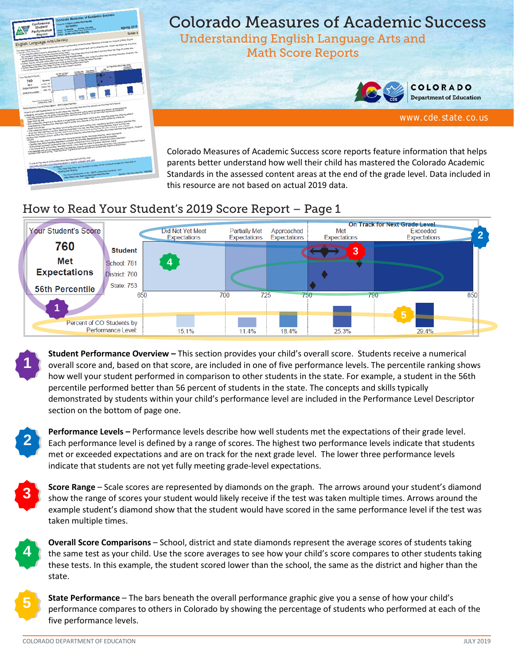

## Colorado Measures of Academic Success

Understanding English Language Arts and Math Score Reports



**COLORADO Department of Education** 

[www.cde.state.co.us](http://www.cde.state.co.us/)

Colorado Measures of Academic Success score reports feature information that helps parents better understand how well their child has mastered the Colorado Academic Standards in the assessed content areas at the end of the grade level. Data included in this resource are not based on actual 2019 data.

## How to Read Your Student's 2019 Score Report – Page 1



**Student Performance Overview –** This section provides your child's overall score. Students receive a numerical overall score and, based on that score, are included in one of five performance levels. The percentile ranking shows how well your student performed in comparison to other students in the state. For example, a student in the 56th percentile performed better than 56 percent of students in the state. The concepts and skills typically demonstrated by students within your child's performance level are included in the Performance Level Descriptor section on the bottom of page one.

**2**

**3**

**1**

**Performance Levels –** Performance levels describe how well students met the expectations of their grade level. Each performance level is defined by a range of scores. The highest two performance levels indicate that students met or exceeded expectations and are on track for the next grade level. The lower three performance levels indicate that students are not yet fully meeting grade-level expectations.

**Score Range** – Scale scores are represented by diamonds on the graph. The arrows around your student's diamond show the range of scores your student would likely receive if the test was taken multiple times. Arrows around the example student's diamond show that the student would have scored in the same performance level if the test was taken multiple times.



**5**

**Overall Score Comparisons** – School, district and state diamonds represent the average scores of students taking the same test as your child. Use the score averages to see how your child's score compares to other students taking these tests. In this example, the student scored lower than the school, the same as the district and higher than the state.

**State Performance** – The bars beneath the overall performance graphic give you a sense of how your child's performance compares to others in Colorado by showing the percentage of students who performed at each of the five performance levels.